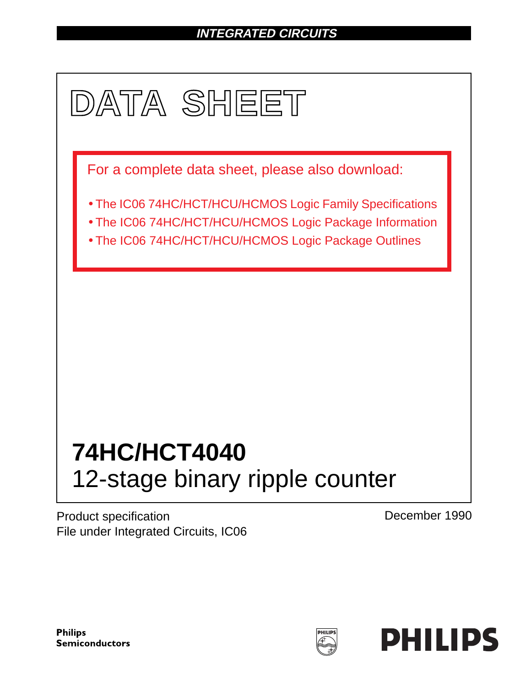# **INTEGRATED CIRCUITS**



Product specification File under Integrated Circuits, IC06 December 1990

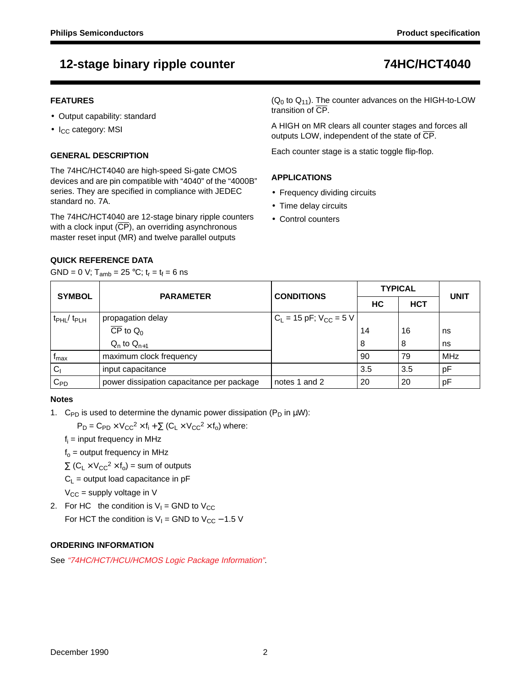## **12-stage binary ripple counter 74HC/HCT4040**

### **FEATURES**

- Output capability: standard
- $\bullet$  I<sub>CC</sub> category: MSI

## **GENERAL DESCRIPTION**

The 74HC/HCT4040 are high-speed Si-gate CMOS devices and are pin compatible with "4040" of the "4000B" series. They are specified in compliance with JEDEC standard no. 7A.

The 74HC/HCT4040 are 12-stage binary ripple counters with a clock input (CP), an overriding asynchronous master reset input (MR) and twelve parallel outputs

 $(Q_0$  to  $Q_{11}$ ). The counter advances on the HIGH-to-LOW transition of CP.

A HIGH on MR clears all counter stages and forces all outputs LOW, independent of the state of CP.

Each counter stage is a static toggle flip-flop.

## **APPLICATIONS**

- Frequency dividing circuits
- Time delay circuits
- Control counters

## **QUICK REFERENCE DATA**

GND = 0 V;  $T_{amb}$  = 25 °C;  $t_r = t_f = 6$  ns

| <b>SYMBOL</b>                 | <b>PARAMETER</b>                          | <b>CONDITIONS</b>             | <b>TYPICAL</b> | <b>UNIT</b> |     |  |
|-------------------------------|-------------------------------------------|-------------------------------|----------------|-------------|-----|--|
|                               |                                           |                               | НC             | <b>HCT</b>  |     |  |
| $t_{\rm PHL}$ / $t_{\rm PLH}$ | propagation delay                         | $C_L$ = 15 pF; $V_{CC}$ = 5 V |                |             |     |  |
|                               | $\overline{CP}$ to $Q_0$                  |                               | 14             | 16          | ns  |  |
|                               | $Q_n$ to $Q_{n+1}$                        |                               | 8              | 8           | ns  |  |
| Imax                          | maximum clock frequency                   |                               | 90             | 79          | MHz |  |
| C <sub>1</sub>                | input capacitance                         |                               | 3.5            | 3.5         | pF  |  |
| $C_{PD}$                      | power dissipation capacitance per package | notes 1 and 2                 | 20             | 20          | pF  |  |

### **Notes**

1. C<sub>PD</sub> is used to determine the dynamic power dissipation ( $P_D$  in  $\mu W$ ):

 $P_D = C_{PD} \times V_{CC}^2 \times f_i + \sum (C_L \times V_{CC}^2 \times f_o)$  where:

 $f_i$  = input frequency in MHz

 $f_0$  = output frequency in MHz

 $\Sigma$  (C<sub>L</sub> × V<sub>CC</sub><sup>2</sup> × f<sub>o</sub>) = sum of outputs

 $C_L$  = output load capacitance in pF

 $V_{CC}$  = supply voltage in V

2. For HC the condition is  $V_1 =$  GND to  $V_{CC}$ For HCT the condition is  $V_1$  = GND to  $V_{CC}$  – 1.5 V

## **ORDERING INFORMATION**

See "74HC/HCT/HCU/HCMOS Logic Package Information".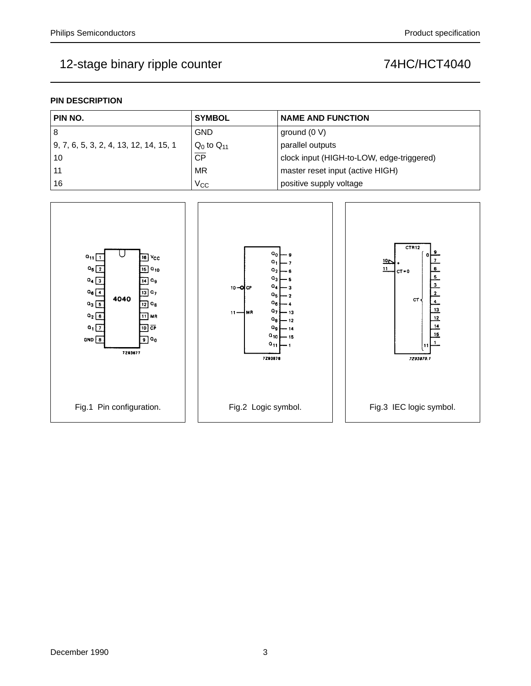# 12-stage binary ripple counter **74HC/HCT4040**

## **PIN DESCRIPTION**

| PIN NO.                                        | <b>SYMBOL</b>     | <b>NAME AND FUNCTION</b>                  |
|------------------------------------------------|-------------------|-------------------------------------------|
| -8                                             | <b>GND</b>        | ground (0 V)                              |
| $\vert$ 9, 7, 6, 5, 3, 2, 4, 13, 12, 14, 15, 1 | $Q_0$ to $Q_{11}$ | parallel outputs                          |
| 10                                             | $\overline{CP}$   | clock input (HIGH-to-LOW, edge-triggered) |
| -11                                            | MR                | master reset input (active HIGH)          |
| 16                                             | $V_{\rm CC}$      | positive supply voltage                   |

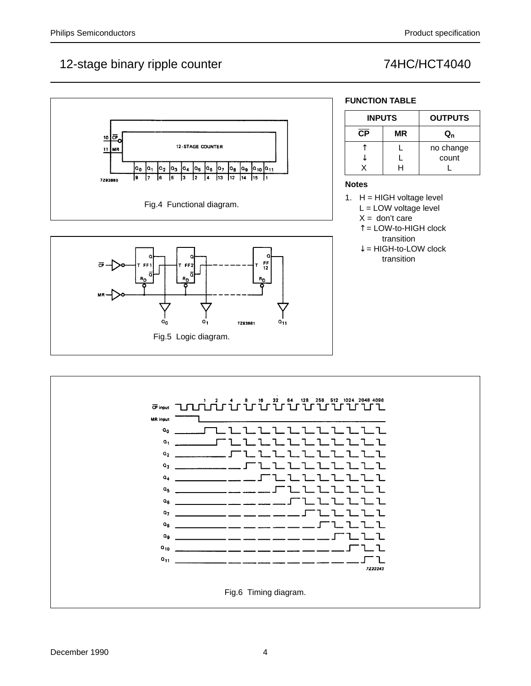## 12-stage binary ripple counter 12-stage binary ripple counter





## **FUNCTION TABLE**

| <b>INPUTS</b> |    | <b>OUTPUTS</b> |  |  |  |
|---------------|----|----------------|--|--|--|
| СP            | ΜR | Q,             |  |  |  |
|               |    | no change      |  |  |  |
|               |    | count          |  |  |  |
|               |    |                |  |  |  |

## **Notes**

- 1.  $H = HIGH$  voltage level L = LOW voltage level
	- $X =$  don't care
	- ↑ = LOW-to-HIGH clock transition
	- $\downarrow$  = HIGH-to-LOW clock transition

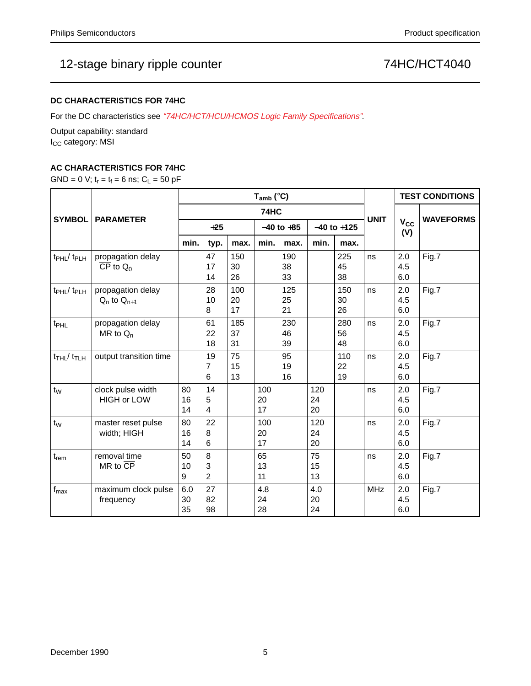## 12-stage binary ripple counter **74HC/HCT4040**

## **DC CHARACTERISTICS FOR 74HC**

For the DC characteristics see "74HC/HCT/HCU/HCMOS Logic Family Specifications".

Output capability: standard I<sub>CC</sub> category: MSI

## **AC CHARACTERISTICS FOR 74HC**

GND = 0 V;  $t_r = t_f = 6$  ns;  $C_L = 50$  pF

|                                        | <b>PARAMETER</b>                                              | $T_{amb}$ (°C)  |                                        |                 |                 |                 |                 |                 |             | <b>TEST CONDITIONS</b>       |                  |
|----------------------------------------|---------------------------------------------------------------|-----------------|----------------------------------------|-----------------|-----------------|-----------------|-----------------|-----------------|-------------|------------------------------|------------------|
|                                        |                                                               | 74HC            |                                        |                 |                 |                 |                 |                 |             |                              |                  |
| <b>SYMBOL</b>                          |                                                               | $+25$           |                                        |                 | $-40$ to $+85$  |                 | $-40$ to $+125$ |                 | <b>UNIT</b> | <b>V<sub>cc</sub></b><br>(V) | <b>WAVEFORMS</b> |
|                                        |                                                               | min.            | typ.                                   | max.            | min.            | max.            | min.            | max.            |             |                              |                  |
| $t_{\rm PHL}$ / $t_{\rm PLH}$          | propagation delay<br>$\overline{\text{CP}}$ to $\textsf{Q}_0$ |                 | 47<br>17<br>14                         | 150<br>30<br>26 |                 | 190<br>38<br>33 |                 | 225<br>45<br>38 | ns          | 2.0<br>4.5<br>6.0            | Fig.7            |
| t <sub>PHL</sub> /t <sub>PLH</sub>     | propagation delay<br>$Q_n$ to $Q_{n+1}$                       |                 | 28<br>10<br>8                          | 100<br>20<br>17 |                 | 125<br>25<br>21 |                 | 150<br>30<br>26 | ns          | 2.0<br>4.5<br>6.0            | Fig.7            |
| t <sub>PHL</sub>                       | propagation delay<br>MR to $Q_n$                              |                 | 61<br>22<br>18                         | 185<br>37<br>31 |                 | 230<br>46<br>39 |                 | 280<br>56<br>48 | ns          | 2.0<br>4.5<br>6.0            | Fig.7            |
| $t$ <sub>THL</sub> $/t$ <sub>TLH</sub> | output transition time                                        |                 | 19<br>$\overline{7}$<br>$6\phantom{1}$ | 75<br>15<br>13  |                 | 95<br>19<br>16  |                 | 110<br>22<br>19 | ns          | 2.0<br>4.5<br>6.0            | Fig.7            |
| $t_{W}$                                | clock pulse width<br><b>HIGH or LOW</b>                       | 80<br>16<br>14  | 14<br>5<br>4                           |                 | 100<br>20<br>17 |                 | 120<br>24<br>20 |                 | ns          | 2.0<br>4.5<br>6.0            | Fig.7            |
| $t_{W}$                                | master reset pulse<br>width; HIGH                             | 80<br>16<br>14  | 22<br>8<br>6                           |                 | 100<br>20<br>17 |                 | 120<br>24<br>20 |                 | ns          | 2.0<br>4.5<br>6.0            | Fig.7            |
| $t_{\sf rem}$                          | removal time<br>$MR$ to $\overline{CP}$                       | 50<br>10<br>9   | 8<br>3<br>$\overline{2}$               |                 | 65<br>13<br>11  |                 | 75<br>15<br>13  |                 | ns          | 2.0<br>4.5<br>6.0            | Fig.7            |
| $f_{\text{max}}$                       | maximum clock pulse<br>frequency                              | 6.0<br>30<br>35 | 27<br>82<br>98                         |                 | 4.8<br>24<br>28 |                 | 4.0<br>20<br>24 |                 | <b>MHz</b>  | 2.0<br>4.5<br>6.0            | Fig.7            |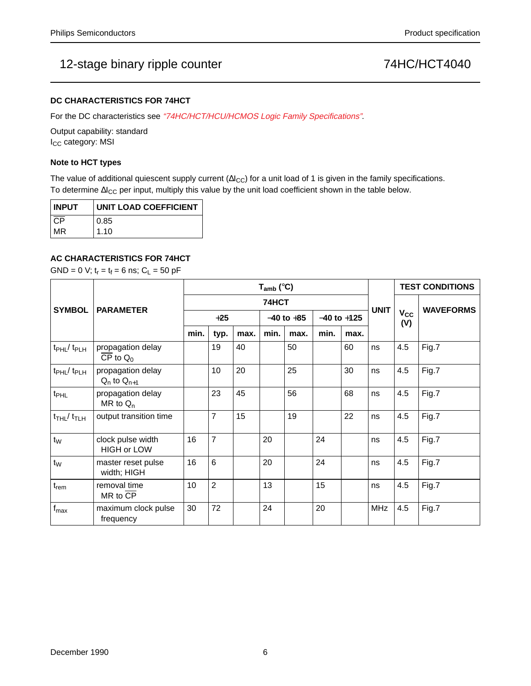## 12-stage binary ripple counter  $\sqrt{74}H$ C/HCT4040

### **DC CHARACTERISTICS FOR 74HCT**

For the DC characteristics see "74HC/HCT/HCU/HCMOS Logic Family Specifications".

Output capability: standard I<sub>CC</sub> category: MSI

### **Note to HCT types**

The value of additional quiescent supply current ( $\Delta l_{CC}$ ) for a unit load of 1 is given in the family specifications. To determine ∆I<sub>CC</sub> per input, multiply this value by the unit load coefficient shown in the table below.

| <b>INPUT</b> | <b>UNIT LOAD COEFFICIENT</b> |  |  |  |  |  |
|--------------|------------------------------|--|--|--|--|--|
| CP           | 0.85                         |  |  |  |  |  |
| MR           | 1.10                         |  |  |  |  |  |

### **AC CHARACTERISTICS FOR 74HCT**

GND = 0 V;  $t_r = t_f = 6$  ns;  $C_L = 50$  pF

|                                        | <b>PARAMETER</b>                        | $T_{amb}$ (°C) |                 |      |                |      |                 |      |             | <b>TEST CONDITIONS</b> |                  |
|----------------------------------------|-----------------------------------------|----------------|-----------------|------|----------------|------|-----------------|------|-------------|------------------------|------------------|
| <b>SYMBOL</b>                          |                                         | 74HCT          |                 |      |                |      |                 |      |             |                        | <b>WAVEFORMS</b> |
|                                        |                                         | $+25$          |                 |      | $-40$ to $+85$ |      | $-40$ to $+125$ |      | <b>UNIT</b> | $V_{CC}$<br>(V)        |                  |
|                                        |                                         | min.           | typ.            | max. | min.           | max. | min.            | max. |             |                        |                  |
| t <sub>PHL</sub> / t <sub>PLH</sub>    | propagation delay<br>$CP$ to $Q_0$      |                | 19              | 40   |                | 50   |                 | 60   | ns          | 4.5                    | Fig.7            |
| t <sub>PHL</sub> / t <sub>PLH</sub>    | propagation delay<br>$Q_n$ to $Q_{n+1}$ |                | 10 <sup>°</sup> | 20   |                | 25   |                 | 30   | ns          | 4.5                    | Fig.7            |
| t <sub>PHL</sub>                       | propagation delay<br>MR to $Q_n$        |                | 23              | 45   |                | 56   |                 | 68   | ns          | 4.5                    | Fig.7            |
| $t$ <sub>THL</sub> $/t$ <sub>TLH</sub> | output transition time                  |                | $\overline{7}$  | 15   |                | 19   |                 | 22   | ns          | 4.5                    | Fig.7            |
| $t_W$                                  | clock pulse width<br><b>HIGH or LOW</b> | 16             | $\overline{7}$  |      | 20             |      | 24              |      | ns          | 4.5                    | Fig.7            |
| $t_{W}$                                | master reset pulse<br>width; HIGH       | 16             | 6               |      | 20             |      | 24              |      | ns          | 4.5                    | Fig.7            |
| $t_{rem}$                              | removal time<br>$MR$ to $\overline{CP}$ | 10             | $\overline{2}$  |      | 13             |      | 15              |      | ns          | 4.5                    | Fig.7            |
| $f_{\text{max}}$                       | maximum clock pulse<br>frequency        | 30             | 72              |      | 24             |      | 20              |      | <b>MHz</b>  | 4.5                    | Fig.7            |